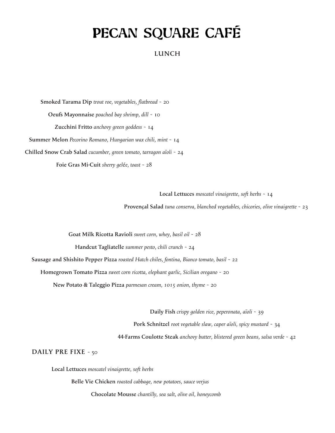# PECAN SQUARE CAFÉ

## **LUNCH**

 **Smoked Tarama Dip** *trout roe, vegetables, flatbread* ~ 20 **Oeufs Mayonnaise** *poached bay shrimp, dill* ~ 10 **Zucchini Fritto** *anchovy green goddess* ~ 14 **Summer Melon** *Pecorino Romano, Hungarian wax chili, mint* ~ 14 **Chilled Snow Crab Salad** *cucumber, green tomato, tarragon aïoli* ~ 24 **Foie Gras Mi-Cuit** *sherry gel*é*e, toast* ~ 28

**Local Lettuces** *moscatel vinaigrette, soft herbs* ~ 14

**Provençal Salad** *tuna conserva, blanched vegetables, chicories, olive vinaigrette* ~ 23

**Goat Milk Ricotta Ravioli** *sweet corn, whey, basil oil* ~ 28

**Handcut Tagliatelle** *summer pesto, chili crunch* ~ 24

**Sausage and Shishito Pepper Pizza** *roasted Hatch chiles, fontina, Bianco tomato, basil* ~ 22

**Homegrown Tomato Pizza** *sweet corn ricotta, elephant garlic, Sicilian oregano* ~ 20

**New Potato & Taleggio Pizza** *parmesan cream, 1015 onion, thyme* ~ 20

**Daily Fish** *crispy golden rice, peperonata, aïoli* ~ 39

**Pork Schnitzel** *root vegetable slaw, caper aïoli, spicy mustard* ~ 34

**44-Farms Coulotte Steak** *anchovy butter, blistered green beans, salsa verde* ~ 42

**DAILY PRE FIXE** ~ 50

**Local Lettuces** *moscatel vinaigrette, soft herbs*

 **Belle Vie Chicken** *roasted cabbage, new potatoes, sauce verjus*

 **Chocolate Mousse** *chantilly, sea salt, olive oil, honeycomb*